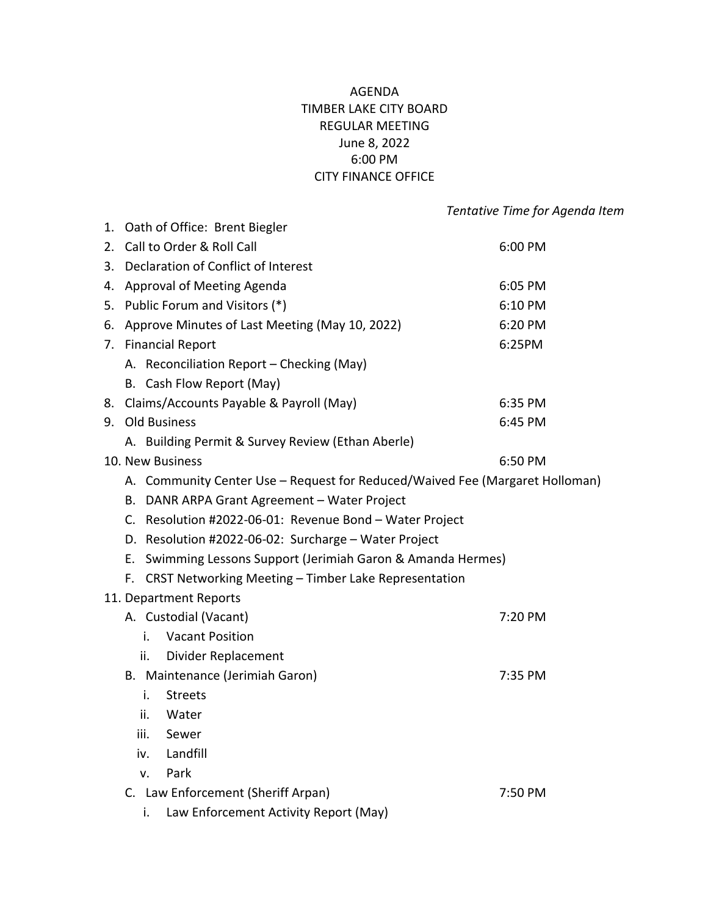## AGENDA TIMBER LAKE CITY BOARD REGULAR MEETING June 8, 2022 6:00 PM CITY FINANCE OFFICE

|                                                                              |                                                           | Tentative Time for Agenda Item |  |
|------------------------------------------------------------------------------|-----------------------------------------------------------|--------------------------------|--|
|                                                                              | 1. Oath of Office: Brent Biegler                          |                                |  |
| 2. Call to Order & Roll Call                                                 |                                                           | 6:00 PM                        |  |
|                                                                              | 3. Declaration of Conflict of Interest                    |                                |  |
| 4. Approval of Meeting Agenda                                                |                                                           | 6:05 PM                        |  |
| 5. Public Forum and Visitors (*)                                             |                                                           | 6:10 PM                        |  |
| 6. Approve Minutes of Last Meeting (May 10, 2022)                            |                                                           | 6:20 PM                        |  |
| 7. Financial Report                                                          |                                                           | 6:25PM                         |  |
|                                                                              | A. Reconciliation Report - Checking (May)                 |                                |  |
|                                                                              | B. Cash Flow Report (May)                                 |                                |  |
|                                                                              | 8. Claims/Accounts Payable & Payroll (May)                | 6:35 PM                        |  |
| 9. Old Business                                                              |                                                           | 6:45 PM                        |  |
|                                                                              | A. Building Permit & Survey Review (Ethan Aberle)         |                                |  |
| 10. New Business                                                             |                                                           | 6:50 PM                        |  |
| A. Community Center Use - Request for Reduced/Waived Fee (Margaret Holloman) |                                                           |                                |  |
| B. DANR ARPA Grant Agreement - Water Project                                 |                                                           |                                |  |
|                                                                              | C. Resolution #2022-06-01: Revenue Bond - Water Project   |                                |  |
|                                                                              | D. Resolution #2022-06-02: Surcharge - Water Project      |                                |  |
| Е.                                                                           | Swimming Lessons Support (Jerimiah Garon & Amanda Hermes) |                                |  |
| F.                                                                           | CRST Networking Meeting - Timber Lake Representation      |                                |  |
| 11. Department Reports                                                       |                                                           |                                |  |
|                                                                              | A. Custodial (Vacant)                                     | 7:20 PM                        |  |
| i.                                                                           | <b>Vacant Position</b>                                    |                                |  |
| ii.                                                                          | Divider Replacement                                       |                                |  |
|                                                                              | B. Maintenance (Jerimiah Garon)                           | 7:35 PM                        |  |
| i.                                                                           | <b>Streets</b>                                            |                                |  |
| ii.<br>Water                                                                 |                                                           |                                |  |
| iii.<br>Sewer                                                                |                                                           |                                |  |
| iv.                                                                          | Landfill                                                  |                                |  |
| Park<br>v.                                                                   |                                                           |                                |  |
|                                                                              | C. Law Enforcement (Sheriff Arpan)                        | 7:50 PM                        |  |
| i.                                                                           | Law Enforcement Activity Report (May)                     |                                |  |